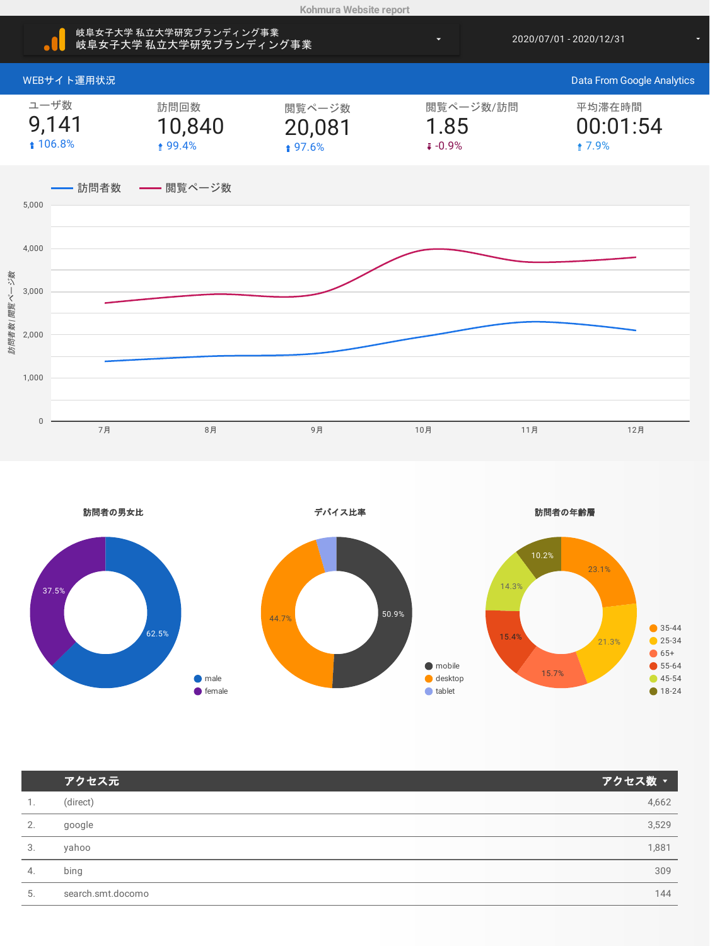

|    | アクセス元             | アクセス数 、 |
|----|-------------------|---------|
| 1. | (direct)          | 4,662   |
| 2. | google            | 3,529   |
| 3. | yahoo             | 1,881   |
| 4. | bing              | 309     |
| 5. | search.smt.docomo | 144     |
|    |                   |         |